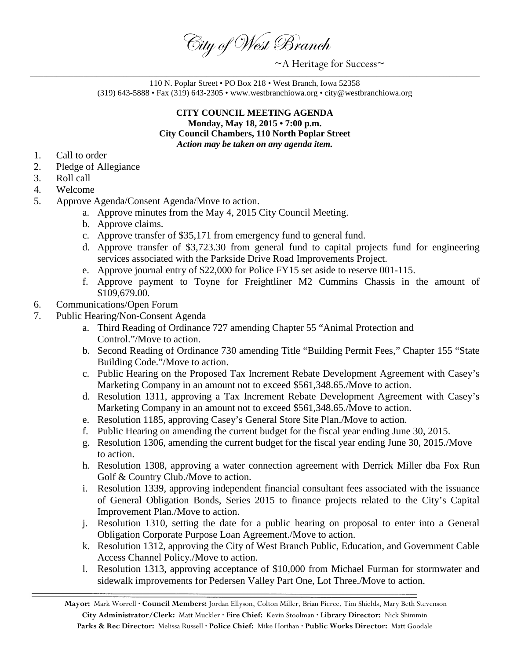City of West Branch

 $~\sim$ A Heritage for Success $\sim$ 

110 N. Poplar Street • PO Box 218 • West Branch, Iowa 52358 (319) 643-5888 • Fax (319) 643-2305 • www.westbranchiowa.org • city@westbranchiowa.org

## **CITY COUNCIL MEETING AGENDA Monday, May 18, 2015 • 7:00 p.m. City Council Chambers, 110 North Poplar Street** *Action may be taken on any agenda item.*

- 1. Call to order
- 2. Pledge of Allegiance
- 3. Roll call
- 4. Welcome
- 5. Approve Agenda/Consent Agenda/Move to action.
	- a. Approve minutes from the May 4, 2015 City Council Meeting.
	- b. Approve claims.
	- c. Approve transfer of \$35,171 from emergency fund to general fund.
	- d. Approve transfer of \$3,723.30 from general fund to capital projects fund for engineering services associated with the Parkside Drive Road Improvements Project.
	- e. Approve journal entry of \$22,000 for Police FY15 set aside to reserve 001-115.
	- f. Approve payment to Toyne for Freightliner M2 Cummins Chassis in the amount of \$109,679.00.
- 6. Communications/Open Forum
- 7. Public Hearing/Non-Consent Agenda
	- a. Third Reading of Ordinance 727 amending Chapter 55 "Animal Protection and Control."/Move to action.
	- b. Second Reading of Ordinance 730 amending Title "Building Permit Fees," Chapter 155 "State Building Code."/Move to action.
	- c. Public Hearing on the Proposed Tax Increment Rebate Development Agreement with Casey's Marketing Company in an amount not to exceed \$561,348.65./Move to action.
	- d. Resolution 1311, approving a Tax Increment Rebate Development Agreement with Casey's Marketing Company in an amount not to exceed \$561,348.65./Move to action.
	- e. Resolution 1185, approving Casey's General Store Site Plan./Move to action.
	- f. Public Hearing on amending the current budget for the fiscal year ending June 30, 2015.
	- g. Resolution 1306, amending the current budget for the fiscal year ending June 30, 2015./Move to action.
	- h. Resolution 1308, approving a water connection agreement with Derrick Miller dba Fox Run Golf & Country Club./Move to action.
	- i. Resolution 1339, approving independent financial consultant fees associated with the issuance of General Obligation Bonds, Series 2015 to finance projects related to the City's Capital Improvement Plan./Move to action.
	- j. Resolution 1310, setting the date for a public hearing on proposal to enter into a General Obligation Corporate Purpose Loan Agreement./Move to action.
	- k. Resolution 1312, approving the City of West Branch Public, Education, and Government Cable Access Channel Policy./Move to action.
	- l. Resolution 1313, approving acceptance of \$10,000 from Michael Furman for stormwater and sidewalk improvements for Pedersen Valley Part One, Lot Three./Move to action.

**Mayor:** Mark Worrell **· Council Members:** Jordan Ellyson, Colton Miller, Brian Pierce, Tim Shields, Mary Beth Stevenson **City Administrator/Clerk:** Matt Muckler **· Fire Chief:** Kevin Stoolman **· Library Director:** Nick Shimmin **Parks & Rec Director:** Melissa Russell **· Police Chief:** Mike Horihan **· Public Works Director:** Matt Goodale